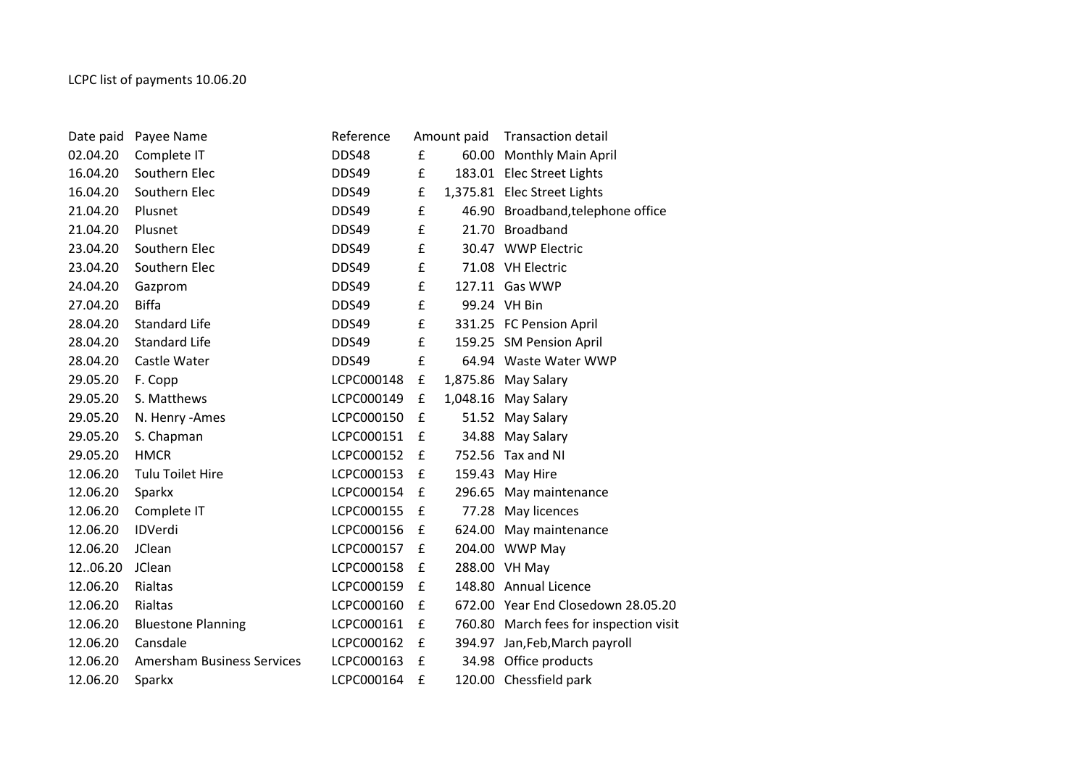| Date paid | Payee Name                        | Reference  |   | Amount paid | <b>Transaction detail</b>              |
|-----------|-----------------------------------|------------|---|-------------|----------------------------------------|
| 02.04.20  | Complete IT                       | DDS48      | £ |             | 60.00 Monthly Main April               |
| 16.04.20  | Southern Elec                     | DDS49      | £ |             | 183.01 Elec Street Lights              |
| 16.04.20  | Southern Elec                     | DDS49      | £ |             | 1,375.81 Elec Street Lights            |
| 21.04.20  | Plusnet                           | DDS49      | £ |             | 46.90 Broadband, telephone office      |
| 21.04.20  | Plusnet                           | DDS49      | £ |             | 21.70 Broadband                        |
| 23.04.20  | Southern Elec                     | DDS49      | £ |             | 30.47 WWP Electric                     |
| 23.04.20  | Southern Elec                     | DDS49      | £ |             | 71.08 VH Electric                      |
| 24.04.20  | Gazprom                           | DDS49      | £ |             | 127.11 Gas WWP                         |
| 27.04.20  | <b>Biffa</b>                      | DDS49      | £ |             | 99.24 VH Bin                           |
| 28.04.20  | <b>Standard Life</b>              | DDS49      | £ |             | 331.25 FC Pension April                |
| 28.04.20  | <b>Standard Life</b>              | DDS49      | £ |             | 159.25 SM Pension April                |
| 28.04.20  | Castle Water                      | DDS49      | £ |             | 64.94 Waste Water WWP                  |
| 29.05.20  | F. Copp                           | LCPC000148 | £ |             | 1,875.86 May Salary                    |
| 29.05.20  | S. Matthews                       | LCPC000149 | £ |             | 1,048.16 May Salary                    |
| 29.05.20  | N. Henry - Ames                   | LCPC000150 | £ |             | 51.52 May Salary                       |
| 29.05.20  | S. Chapman                        | LCPC000151 | £ |             | 34.88 May Salary                       |
| 29.05.20  | <b>HMCR</b>                       | LCPC000152 | £ |             | 752.56 Tax and NI                      |
| 12.06.20  | <b>Tulu Toilet Hire</b>           | LCPC000153 | £ |             | 159.43 May Hire                        |
| 12.06.20  | Sparkx                            | LCPC000154 | £ |             | 296.65 May maintenance                 |
| 12.06.20  | Complete IT                       | LCPC000155 | £ |             | 77.28 May licences                     |
| 12.06.20  | IDVerdi                           | LCPC000156 | £ |             | 624.00 May maintenance                 |
| 12.06.20  | JClean                            | LCPC000157 | £ |             | 204.00 WWP May                         |
| 1206.20   | JClean                            | LCPC000158 | £ |             | 288.00 VH May                          |
| 12.06.20  | Rialtas                           | LCPC000159 | £ |             | 148.80 Annual Licence                  |
| 12.06.20  | Rialtas                           | LCPC000160 | £ |             | 672.00 Year End Closedown 28.05.20     |
| 12.06.20  | <b>Bluestone Planning</b>         | LCPC000161 | £ |             | 760.80 March fees for inspection visit |
| 12.06.20  | Cansdale                          | LCPC000162 | £ |             | 394.97 Jan, Feb, March payroll         |
| 12.06.20  | <b>Amersham Business Services</b> | LCPC000163 | £ |             | 34.98 Office products                  |
| 12.06.20  | Sparkx                            | LCPC000164 | £ |             | 120.00 Chessfield park                 |